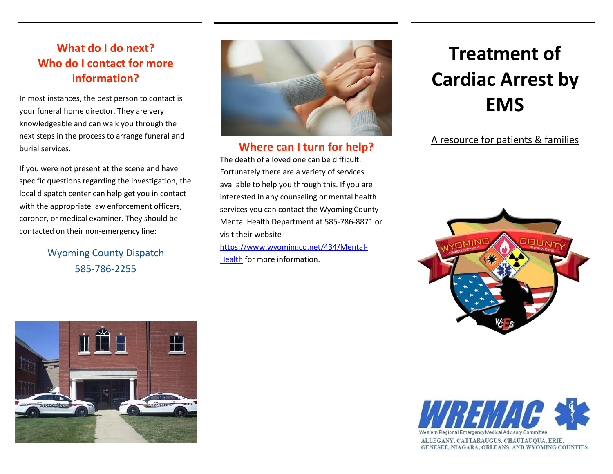## **What do I do next? Who do I contact for more information?**

In most instances, the best person to contact is your funeral home director. They are very knowledgeable and can walk you through the next steps in the process to arrange funeral and burial services.

If you were not present at the scene and have specific questions regarding the investigation, the local dispatch center can help get you in contact with the appropriate law enforcement officers, coroner, or medical examiner. They should be contacted on their non-emergency line:

> Wyoming County Dispatch 585-786-2255



#### **Where can I turn for help?**

The death of a loved one can be difficult. Fortunately there are a variety of services available to help you through this. If you are interested in any counseling or mental health services you can contact the Wyoming County Mental Health Department at 585-786-8871 or visit their website [https://www.wyomingco.net/434/Mental-](https://www.wyomingco.net/434/Mental-Health)

[Health](https://www.wyomingco.net/434/Mental-Health) for more information.

# **Treatment of Cardiac Arrest by EMS**

#### A resource for patients & families